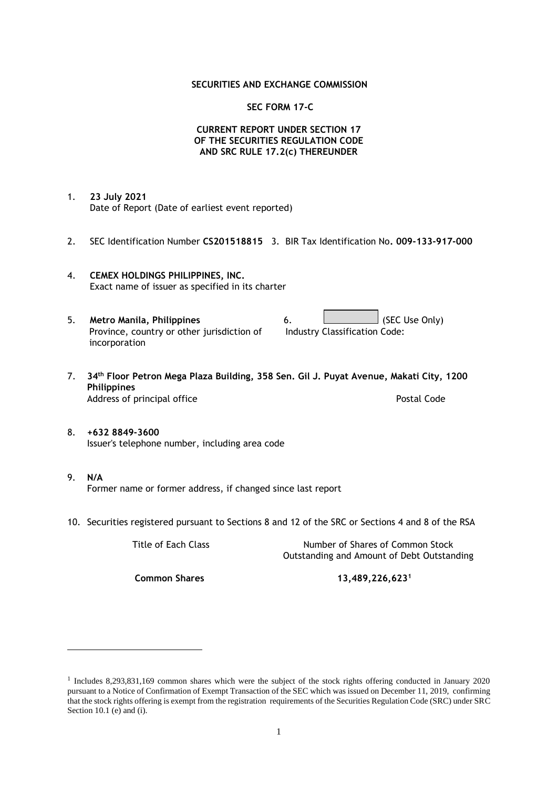## **SECURITIES AND EXCHANGE COMMISSION**

## **SEC FORM 17-C**

# **CURRENT REPORT UNDER SECTION 17 OF THE SECURITIES REGULATION CODE AND SRC RULE 17.2(c) THEREUNDER**

- 1. **23 July 2021** Date of Report (Date of earliest event reported)
- 2. SEC Identification Number **CS201518815** 3. BIR Tax Identification No**. 009-133-917-000**
- 4. **CEMEX HOLDINGS PHILIPPINES, INC.** Exact name of issuer as specified in its charter
- 5. **Metro Manila, Philippines** 6. **Consumers 6.** (SEC Use Only) Province, country or other jurisdiction of incorporation Industry Classification Code:
- 7. **34th Floor Petron Mega Plaza Building, 358 Sen. Gil J. Puyat Avenue, Makati City, 1200 Philippines** Address of principal office **Postal Code** Postal Code
- 8. **+632 8849-3600** Issuer's telephone number, including area code
- 9. **N/A** Former name or former address, if changed since last report
- 10. Securities registered pursuant to Sections 8 and 12 of the SRC or Sections 4 and 8 of the RSA

Title of Each Class Number of Shares of Common Stock Outstanding and Amount of Debt Outstanding

**Common Shares 13,489,226,623<sup>1</sup>**

<sup>1</sup> Includes 8,293,831,169 common shares which were the subject of the stock rights offering conducted in January 2020 pursuant to a Notice of Confirmation of Exempt Transaction of the SEC which was issued on December 11, 2019, confirming that the stock rights offering is exempt from the registration requirements of the Securities Regulation Code (SRC) under SRC Section 10.1 (e) and (i).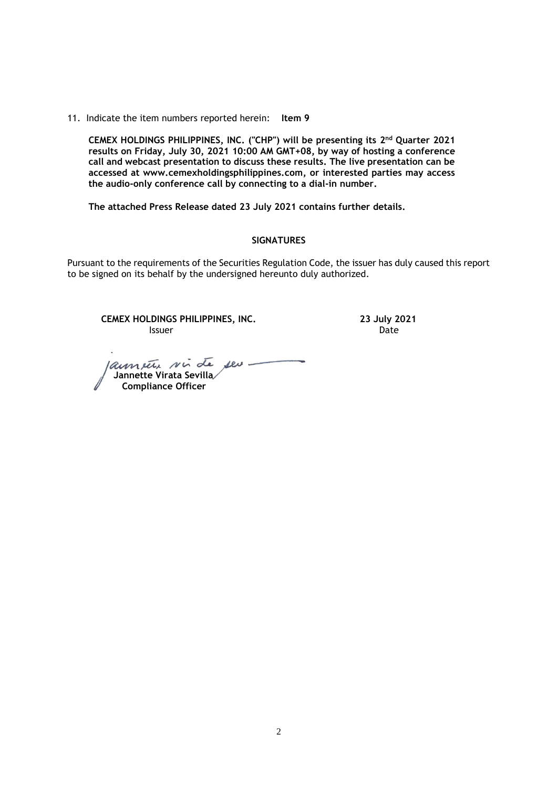11. Indicate the item numbers reported herein: **Item 9**

**CEMEX HOLDINGS PHILIPPINES, INC. ("CHP") will be presenting its 2 nd Quarter 2021 results on Friday, July 30, 2021 10:00 AM GMT+08, by way of hosting a conference call and webcast presentation to discuss these results. The live presentation can be accessed at [www.cemexholdingsphilippines.com,](http://www.cemexholdingsphilippines.com/) or interested parties may access the audio-only conference call by connecting to a dial-in number.** 

**The attached Press Release dated 23 July 2021 contains further details.**

#### **SIGNATURES**

Pursuant to the requirements of the Securities Regulation Code, the issuer has duly caused this report to be signed on its behalf by the undersigned hereunto duly authorized.

**CEMEX HOLDINGS PHILIPPINES, INC. 23 July 2021 Issuer Community Community Community** Community Community Community Community Community Community Community Comm

launete sin de seu  **Jannette Virata Sevilla Compliance Officer**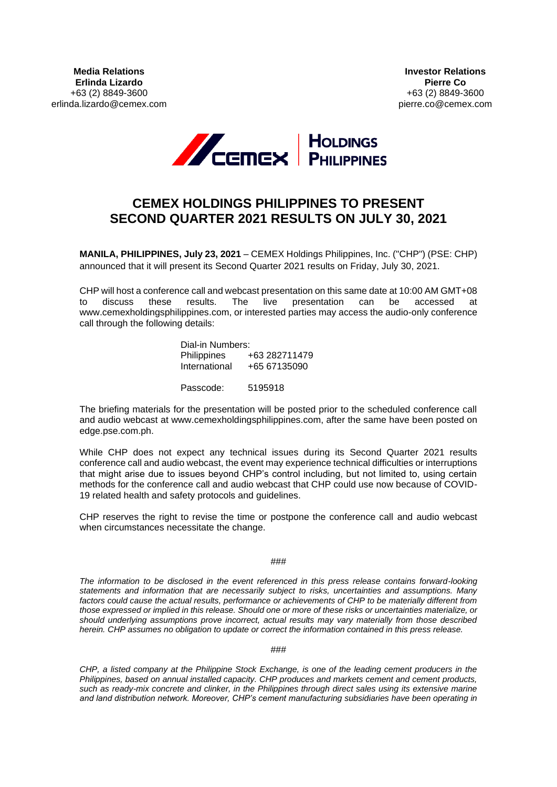

# **CEMEX HOLDINGS PHILIPPINES TO PRESENT SECOND QUARTER 2021 RESULTS ON JULY 30, 2021**

**MANILA, PHILIPPINES, July 23, 2021** – CEMEX Holdings Philippines, Inc. ("CHP") (PSE: CHP) announced that it will present its Second Quarter 2021 results on Friday, July 30, 2021.

CHP will host a conference call and webcast presentation on this same date at 10:00 AM GMT+08 to discuss these results. The live presentation can be accessed at www.cemexholdingsphilippines.com, or interested parties may access the audio-only conference call through the following details:

> Dial-in Numbers: Philippines +63 282711479 International +65 67135090

Passcode: 5195918

The briefing materials for the presentation will be posted prior to the scheduled conference call and audio webcast at www.cemexholdingsphilippines.com, after the same have been posted on edge.pse.com.ph.

While CHP does not expect any technical issues during its Second Quarter 2021 results conference call and audio webcast, the event may experience technical difficulties or interruptions that might arise due to issues beyond CHP's control including, but not limited to, using certain methods for the conference call and audio webcast that CHP could use now because of COVID-19 related health and safety protocols and guidelines.

CHP reserves the right to revise the time or postpone the conference call and audio webcast when circumstances necessitate the change.

###

*The information to be disclosed in the event referenced in this press release contains forward-looking statements and information that are necessarily subject to risks, uncertainties and assumptions. Many*  factors could cause the actual results, performance or achievements of CHP to be materially different from *those expressed or implied in this release. Should one or more of these risks or uncertainties materialize, or should underlying assumptions prove incorrect, actual results may vary materially from those described herein. CHP assumes no obligation to update or correct the information contained in this press release.*

###

*CHP, a listed company at the Philippine Stock Exchange, is one of the leading cement producers in the Philippines, based on annual installed capacity. CHP produces and markets cement and cement products, such as ready-mix concrete and clinker, in the Philippines through direct sales using its extensive marine and land distribution network. Moreover, CHP's cement manufacturing subsidiaries have been operating in*